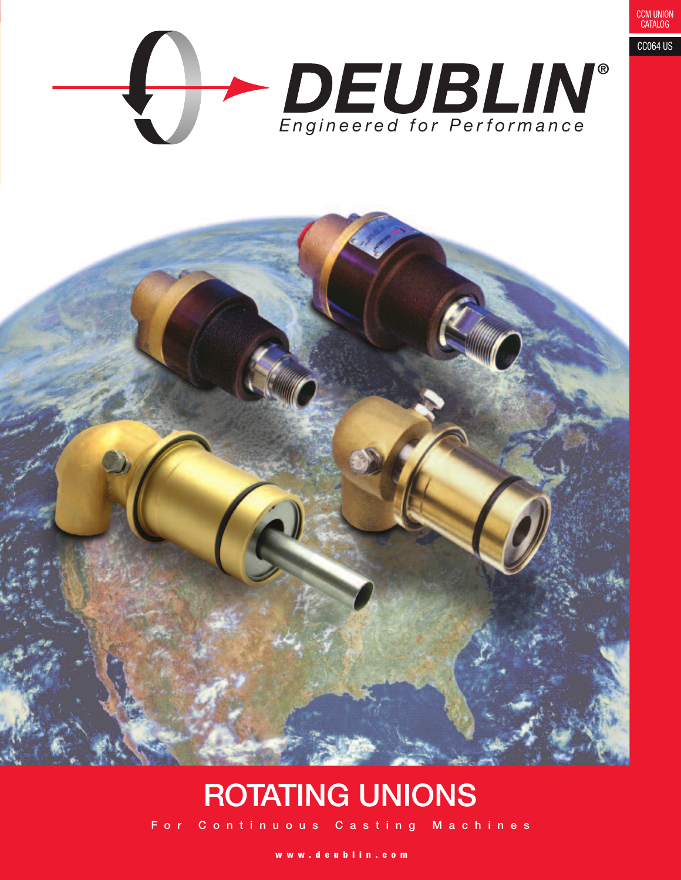

# **ROTATING UNIONS**

For Continuous Casting Machines

www.deublin.com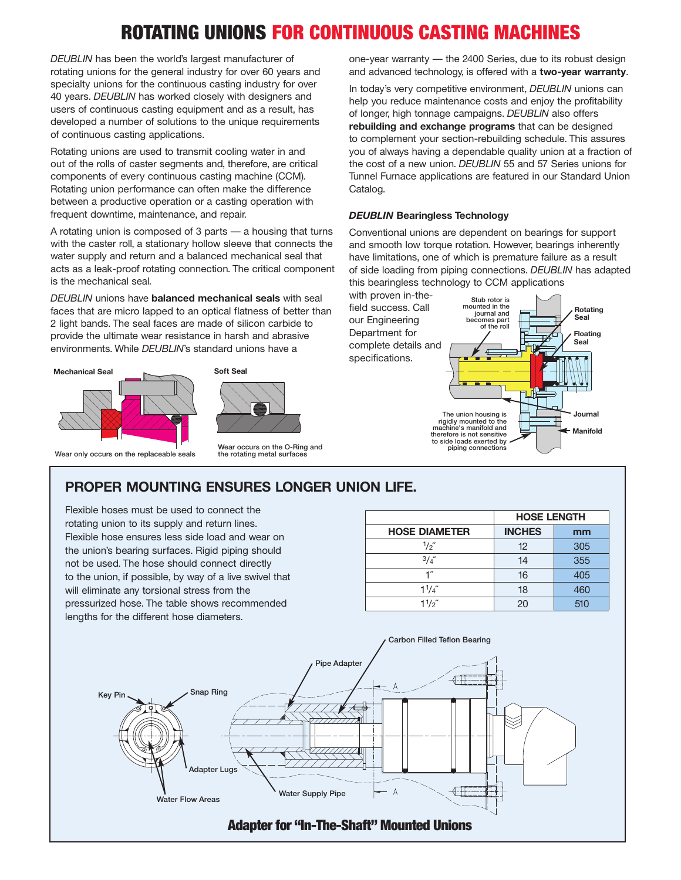## **ROTATING UNIONS FOR CONTINUOUS CASTING MACHINES**

*DEUBLIN* has been the world's largest manufacturer of rotating unions for the general industry for over 60 years and specialty unions for the continuous casting industry for over 40 years. *DEUBLIN* has worked closely with designers and users of continuous casting equipment and as a result, has developed a number of solutions to the unique requirements of continuous casting applications.

Rotating unions are used to transmit cooling water in and out of the rolls of caster segments and, therefore, are critical components of every continuous casting machine (CCM). Rotating union performance can often make the difference between a productive operation or a casting operation with frequent downtime, maintenance, and repair.

A rotating union is composed of 3 parts — a housing that turns with the caster roll, a stationary hollow sleeve that connects the water supply and return and a balanced mechanical seal that acts as a leak-proof rotating connection. The critical component is the mechanical seal.

*DEUBLIN* unions have **balanced mechanical seals** with seal faces that are micro lapped to an optical flatness of better than 2 light bands. The seal faces are made of silicon carbide to provide the ultimate wear resistance in harsh and abrasive environments. While *DEUBLIN*'s standard unions have a



Wear only occurs on the replaceable seals

Wear occurs on the O-Ring and the rotating metal surfaces

one-year warranty — the 2400 Series, due to its robust design and advanced technology, is offered with a **two-year warranty**.

In today's very competitive environment, *DEUBLIN* unions can help you reduce maintenance costs and enjoy the profitability of longer, high tonnage campaigns. *DEUBLIN* also offers **rebuilding and exchange programs** that can be designed to complement your section-rebuilding schedule. This assures you of always having a dependable quality union at a fraction of the cost of a new union. *DEUBLIN* 55 and 57 Series unions for Tunnel Furnace applications are featured in our Standard Union Catalog.

#### *DEUBLIN* **Bearingless Technology**

Conventional unions are dependent on bearings for support and smooth low torque rotation. However, bearings inherently have limitations, one of which is premature failure as a result of side loading from piping connections. *DEUBLIN* has adapted this bearingless technology to CCM applications



## **PROPER MOUNTING ENSURES LONGER UNION LIFE.**

Flexible hoses must be used to connect the rotating union to its supply and return lines. Flexible hose ensures less side load and wear on the union's bearing surfaces. Rigid piping should not be used. The hose should connect directly to the union, if possible, by way of a live swivel that will eliminate any torsional stress from the pressurized hose. The table shows recommended lengths for the different hose diameters.

|                      | <b>HOSE LENGTH</b> |     |
|----------------------|--------------------|-----|
| <b>HOSE DIAMETER</b> | <b>INCHES</b>      | mm  |
| $\frac{1}{2}$        | 12                 | 305 |
| $3/4$ "              | 14                 | 355 |
| 1″                   | 16                 | 405 |
| $1^{1/4}$            | 18                 | 460 |
| $1^{1/2}$            | 20                 | 510 |

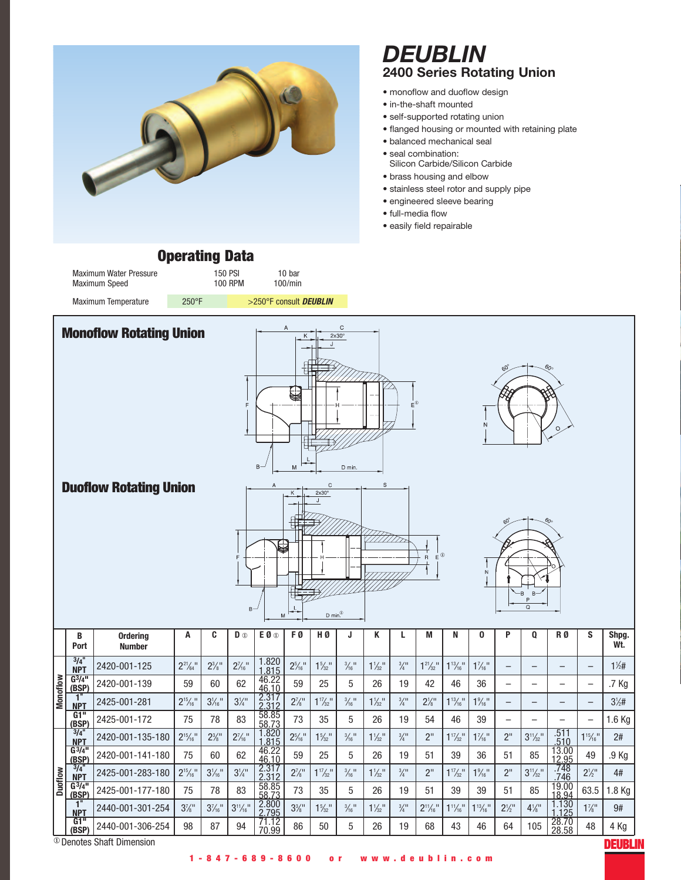

## *DEUBLIN* **2400 Series Rotating Union**

- monoflow and duoflow design
- in-the-shaft mounted
- self-supported rotating union
- flanged housing or mounted with retaining plate
- balanced mechanical seal
- seal combination:
- Silicon Carbide/Silicon Carbide
- brass housing and elbow
- stainless steel rotor and supply pipe
- engineered sleeve bearing
- full-media flow
- easily field repairable

## **Operating Data**

Maximum Water Pressure 150 PSI 10 bar<br>Maximum Speed 100 PPM 100/mir Maximum Speed 100 RPM 100/min Maximum Temperature 250°F 250°F 250°F consult **DEUBLIN** 

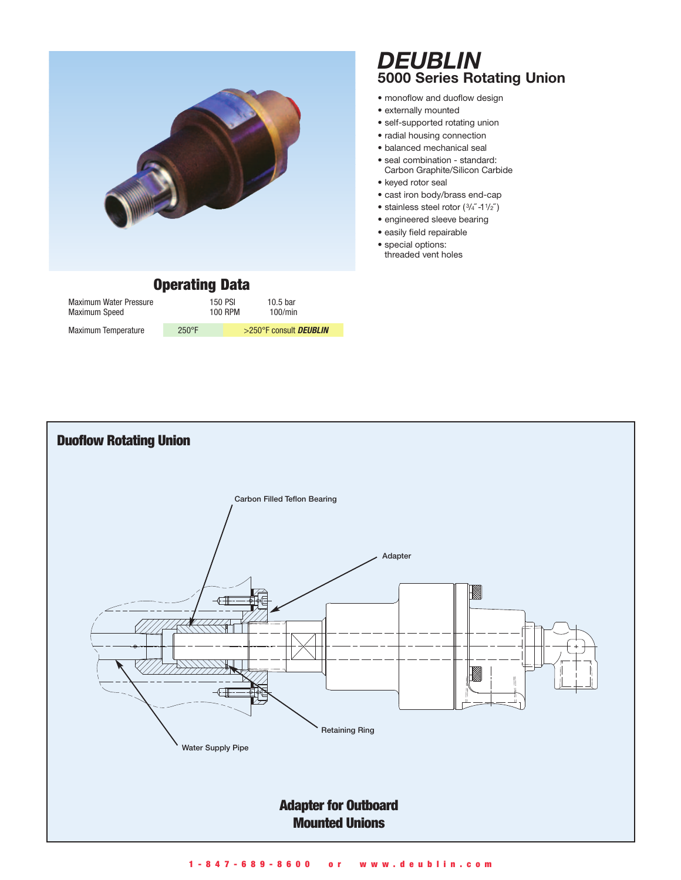| <b>Operating Data</b>                   |       |                           |                        |  |
|-----------------------------------------|-------|---------------------------|------------------------|--|
| Maximum Water Pressure<br>Maximum Speed |       | 150 PSI<br><b>100 RPM</b> | 10.5 bar<br>100/min    |  |
| Maximum Temperature                     | 250°F |                           | >250°F consult DEUBLIN |  |

## *DEUBLIN* **5000 Series Rotating Union**

- monoflow and duoflow design
- externally mounted
- self-supported rotating union
- radial housing connection
- balanced mechanical seal
- seal combination standard: Carbon Graphite/Silicon Carbide
- keyed rotor seal
- cast iron body/brass end-cap
- stainless steel rotor  $(3/4^{''}-1^{'}/2^{''})$
- engineered sleeve bearing
- easily field repairable
- special options: threaded vent holes

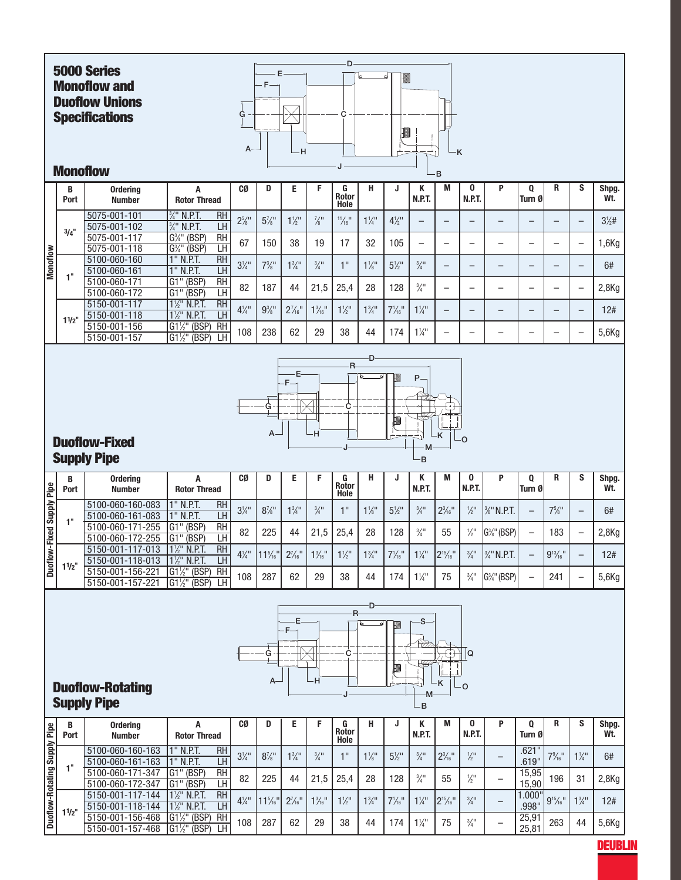

**DEUBLIN**